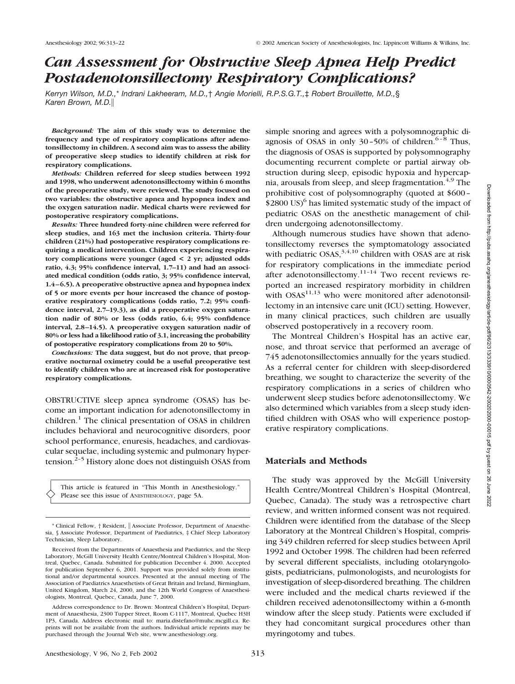# *Can Assessment for Obstructive Sleep Apnea Help Predict Postadenotonsillectomy Respiratory Complications?*

*Kerryn Wilson, M.D.,*\* *Indrani Lakheeram, M.D.,*† *Angie Morielli, R.P.S.G.T.,*‡ *Robert Brouillette, M.D.,*§ *Karen Brown, M.D.*

*Background:* **The aim of this study was to determine the frequency and type of respiratory complications after adenotonsillectomy in children. A second aim was to assess the ability of preoperative sleep studies to identify children at risk for respiratory complications.**

*Methods:* **Children referred for sleep studies between 1992 and 1998, who underwent adenotonsillectomy within 6 months of the preoperative study, were reviewed. The study focused on two variables: the obstructive apnea and hypopnea index and the oxygen saturation nadir. Medical charts were reviewed for postoperative respiratory complications.**

*Results:* **Three hundred forty-nine children were referred for sleep studies, and 163 met the inclusion criteria. Thirty-four children (21%) had postoperative respiratory complications requiring a medical intervention. Children experiencing respiratory complications were younger (aged < 2 yr; adjusted odds ratio, 4.3; 95% confidence interval, 1.7–11) and had an associated medical condition (odds ratio, 3; 95% confidence interval, 1.4–6.5). A preoperative obstructive apnea and hypopnea index of 5 or more events per hour increased the chance of postoperative respiratory complications (odds ratio, 7.2; 95% confidence interval, 2.7–19.3), as did a preoperative oxygen saturation nadir of 80% or less (odds ratio, 6.4; 95% confidence interval, 2.8–14.5). A preoperative oxygen saturation nadir of 80% or less had a likelihood ratio of 3.1, increasing the probability of postoperative respiratory complications from 20 to 50%.**

*Conclusions:* **The data suggest, but do not prove, that preoperative nocturnal oximetry could be a useful preoperative test to identify children who are at increased risk for postoperative respiratory complications.**

OBSTRUCTIVE sleep apnea syndrome (OSAS) has become an important indication for adenotonsillectomy in children.<sup>1</sup> The clinical presentation of OSAS in children includes behavioral and neurocognitive disorders, poor school performance, enuresis, headaches, and cardiovascular sequelae, including systemic and pulmonary hypertension.<sup>2-5</sup> History alone does not distinguish OSAS from

This article is featured in "This Month in Anesthesiology." Please see this issue of ANESTHESIOLOGY, page 5A.

simple snoring and agrees with a polysomnographic diagnosis of OSAS in only  $30-50\%$  of children.<sup>6–8</sup> Thus, the diagnosis of OSAS is supported by polysomnography documenting recurrent complete or partial airway obstruction during sleep, episodic hypoxia and hypercapnia, arousals from sleep, and sleep fragmentation.<sup> $4,9$ </sup> The prohibitive cost of polysomnography (quoted at \$600– \$2800 US)<sup>6</sup> has limited systematic study of the impact of pediatric OSAS on the anesthetic management of children undergoing adenotonsillectomy.

Although numerous studies have shown that adenotonsillectomy reverses the symptomatology associated with pediatric  $OSAS$ ,<sup>3,4,10</sup> children with OSAS are at risk for respiratory complications in the immediate period after adenotonsillectomy. $11-14$  Two recent reviews reported an increased respiratory morbidity in children with  $OSAS<sup>11,13</sup>$  who were monitored after adenotonsillectomy in an intensive care unit (ICU) setting. However, in many clinical practices, such children are usually observed postoperatively in a recovery room.

The Montreal Children's Hospital has an active ear, nose, and throat service that performed an average of 745 adenotonsillectomies annually for the years studied. As a referral center for children with sleep-disordered breathing, we sought to characterize the severity of the respiratory complications in a series of children who underwent sleep studies before adenotonsillectomy. We also determined which variables from a sleep study identified children with OSAS who will experience postoperative respiratory complications.

# **Materials and Methods**

The study was approved by the McGill University Health Centre/Montreal Children's Hospital (Montreal, Quebec, Canada). The study was a retrospective chart review, and written informed consent was not required. Children were identified from the database of the Sleep Laboratory at the Montreal Children's Hospital, comprising 349 children referred for sleep studies between April 1992 and October 1998. The children had been referred by several different specialists, including otolaryngologists, pediatricians, pulmonologists, and neurologists for investigation of sleep-disordered breathing. The children were included and the medical charts reviewed if the children received adenotonsillectomy within a 6-month window after the sleep study. Patients were excluded if they had concomitant surgical procedures other than myringotomy and tubes.

<sup>\*</sup> Clinical Fellow, † Resident, Associate Professor, Department of Anaesthesia, § Associate Professor, Department of Paediatrics, ‡ Chief Sleep Laboratory Technician, Sleep Laboratory.

Received from the Departments of Anaesthesia and Paediatrics, and the Sleep Laboratory, McGill University Health Centre/Montreal Children's Hospital, Montreal, Quebec, Canada. Submitted for publication December 4. 2000. Accepted for publication September 6, 2001. Support was provided solely from institutional and/or departmental sources. Presented at the annual meeting of The Association of Paediatrics Anaesthetists of Great Britain and Ireland, Birmingham, United Kingdom, March 24, 2000, and the 12th World Congress of Anaesthesiologists, Montreal, Quebec, Canada, June 7, 2000.

Address correspondence to Dr. Brown: Montreal Children's Hospital, Department of Anaesthesia, 2300 Tupper Street, Room C-1117, Montreal, Quebec H3H 1P3, Canada. Address electronic mail to: maria.distefano@muhc.mcgill.ca. Reprints will not be available from the authors. Individual article reprints may be purchased through the Journal Web site, www.anesthesiology.org.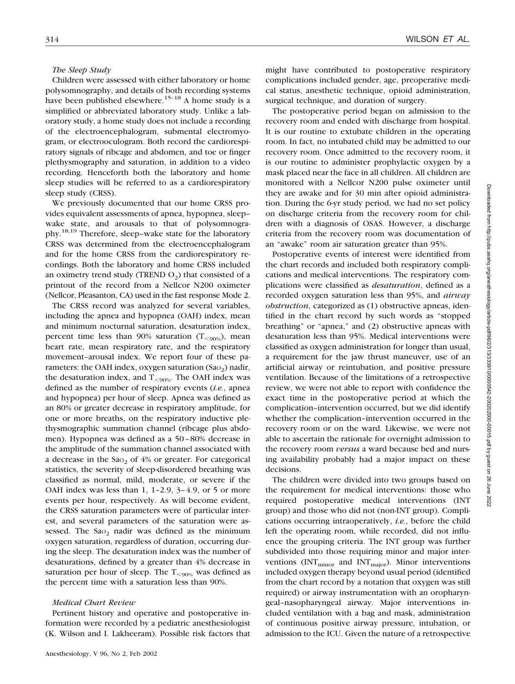## *The Sleep Study*

Children were assessed with either laboratory or home polysomnography, and details of both recording systems have been published elsewhere.<sup>15–18</sup> A home study is a simplified or abbreviated laboratory study. Unlike a laboratory study, a home study does not include a recording of the electroencephalogram, submental electromyogram, or electrooculogram. Both record the cardiorespiratory signals of ribcage and abdomen, and toe or finger plethysmography and saturation, in addition to a video recording. Henceforth both the laboratory and home sleep studies will be referred to as a cardiorespiratory sleep study (CRSS).

We previously documented that our home CRSS provides equivalent assessments of apnea, hypopnea, sleep– wake state, and arousals to that of polysomnography.18,19 Therefore, sleep–wake state for the laboratory CRSS was determined from the electroencephalogram and for the home CRSS from the cardiorespiratory recordings. Both the laboratory and home CRSS included an oximetry trend study (TREND  $O_2$ ) that consisted of a printout of the record from a Nellcor N200 oximeter (Nellcor, Pleasanton, CA) used in the fast response Mode 2.

The CRSS record was analyzed for several variables, including the apnea and hypopnea (OAH) index, mean and minimum nocturnal saturation, desaturation index, percent time less than 90% saturation ( $T_{\leq 90\%}$ ), mean heart rate, mean respiratory rate, and the respiratory movement–arousal index. We report four of these parameters: the OAH index, oxygen saturation  $(Sao<sub>2</sub>)$  nadir, the desaturation index, and  $T_{<90\%}$ . The OAH index was defined as the number of respiratory events (*i.e.*, apnea and hypopnea) per hour of sleep. Apnea was defined as an 80% or greater decrease in respiratory amplitude, for one or more breaths, on the respiratory inductive plethysmographic summation channel (ribcage plus abdomen). Hypopnea was defined as a 50–80% decrease in the amplitude of the summation channel associated with a decrease in the Sao<sub>2</sub> of  $4\%$  or greater. For categorical statistics, the severity of sleep-disordered breathing was classified as normal, mild, moderate, or severe if the OAH index was less than 1, 1-2.9,  $3-4.9$ , or 5 or more events per hour, respectively. As will become evident, the CRSS saturation parameters were of particular interest, and several parameters of the saturation were assessed. The  $Sao_2$  nadir was defined as the minimum oxygen saturation, regardless of duration, occurring during the sleep. The desaturation index was the number of desaturations, defined by a greater than 4% decrease in saturation per hour of sleep. The  $T_{\leq 90\%}$  was defined as the percent time with a saturation less than 90%.

### *Medical Chart Review*

Pertinent history and operative and postoperative information were recorded by a pediatric anesthesiologist (K. Wilson and I. Lakheeram). Possible risk factors that might have contributed to postoperative respiratory complications included gender, age, preoperative medical status, anesthetic technique, opioid administration, surgical technique, and duration of surgery.

The postoperative period began on admission to the recovery room and ended with discharge from hospital. It is our routine to extubate children in the operating room. In fact, no intubated child may be admitted to our recovery room. Once admitted to the recovery room, it is our routine to administer prophylactic oxygen by a mask placed near the face in all children. All children are monitored with a Nellcor N200 pulse oximeter until they are awake and for 30 min after opioid administration. During the 6-yr study period, we had no set policy on discharge criteria from the recovery room for children with a diagnosis of OSAS. However, a discharge criteria from the recovery room was documentation of an "awake" room air saturation greater than 95%.

Postoperative events of interest were identified from the chart records and included both respiratory complications and medical interventions. The respiratory complications were classified as *desaturation*, defined as a recorded oxygen saturation less than 95%, and *airway obstruction*, categorized as (1) obstructive apneas, identified in the chart record by such words as "stopped breathing" or "apnea," and (2) obstructive apneas with desaturation less than 95%. Medical interventions were classified as oxygen administration for longer than usual, a requirement for the jaw thrust maneuver, use of an artificial airway or reintubation, and positive pressure ventilation. Because of the limitations of a retrospective review, we were not able to report with confidence the exact time in the postoperative period at which the complication–intervention occurred, but we did identify whether the complication–intervention occurred in the recovery room or on the ward. Likewise, we were not able to ascertain the rationale for overnight admission to the recovery room *versus* a ward because bed and nursing availability probably had a major impact on these decisions.

The children were divided into two groups based on the requirement for medical interventions: those who required postoperative medical interventions (INT group) and those who did not (non-INT group). Complications occurring intraoperatively, *i.e.*, before the child left the operating room, while recorded, did not influence the grouping criteria. The INT group was further subdivided into those requiring minor and major interventions  $\text{(INT}_{\text{minor}}$  and  $\text{INT}_{\text{major}}$ ). Minor interventions included oxygen therapy beyond usual period (identified from the chart record by a notation that oxygen was still required) or airway instrumentation with an oropharyngeal–nasopharyngeal airway. Major interventions included ventilation with a bag and mask, administration of continuous positive airway pressure, intubation, or admission to the ICU. Given the nature of a retrospective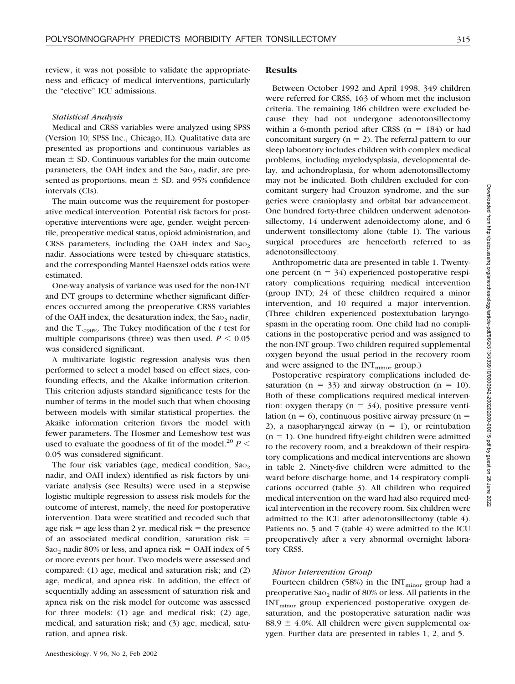review, it was not possible to validate the appropriateness and efficacy of medical interventions, particularly the "elective" ICU admissions.

### *Statistical Analysis*

Medical and CRSS variables were analyzed using SPSS (Version 10; SPSS Inc., Chicago, IL). Qualitative data are presented as proportions and continuous variables as  $mean \pm SD$ . Continuous variables for the main outcome parameters, the OAH index and the  $Sao<sub>2</sub>$  nadir, are presented as proportions, mean  $\pm$  SD, and 95% confidence intervals (CIs).

The main outcome was the requirement for postoperative medical intervention. Potential risk factors for postoperative interventions were age, gender, weight percentile, preoperative medical status, opioid administration, and CRSS parameters, including the OAH index and  $Sao<sub>2</sub>$ nadir. Associations were tested by chi-square statistics, and the corresponding Mantel Haenszel odds ratios were estimated.

One-way analysis of variance was used for the non-INT and INT groups to determine whether significant differences occurred among the preoperative CRSS variables of the OAH index, the desaturation index, the  $Sao<sub>2</sub>$  nadir, and the  $T_{\leq 90\%}$ . The Tukey modification of the *t* test for multiple comparisons (three) was then used.  $P \leq 0.05$ was considered significant.

A multivariate logistic regression analysis was then performed to select a model based on effect sizes, confounding effects, and the Akaike information criterion. This criterion adjusts standard significance tests for the number of terms in the model such that when choosing between models with similar statistical properties, the Akaike information criterion favors the model with fewer parameters. The Hosmer and Lemeshow test was used to evaluate the goodness of fit of the model.<sup>20</sup>  $P$  < 0.05 was considered significant.

The four risk variables (age, medical condition,  $Sao<sub>2</sub>$ ) nadir, and OAH index) identified as risk factors by univariate analysis (see Results) were used in a stepwise logistic multiple regression to assess risk models for the outcome of interest, namely, the need for postoperative intervention. Data were stratified and recoded such that age risk  $=$  age less than 2 yr, medical risk  $=$  the presence of an associated medical condition, saturation risk Sao<sub>2</sub> nadir 80% or less, and apnea risk = OAH index of 5 or more events per hour. Two models were assessed and compared: (1) age, medical and saturation risk; and (2) age, medical, and apnea risk. In addition, the effect of sequentially adding an assessment of saturation risk and apnea risk on the risk model for outcome was assessed for three models: (1) age and medical risk; (2) age, medical, and saturation risk; and (3) age, medical, saturation, and apnea risk.

Between October 1992 and April 1998, 349 children were referred for CRSS, 163 of whom met the inclusion criteria. The remaining 186 children were excluded because they had not undergone adenotonsillectomy within a 6-month period after CRSS  $(n = 184)$  or had concomitant surgery ( $n = 2$ ). The referral pattern to our sleep laboratory includes children with complex medical problems, including myelodysplasia, developmental delay, and achondroplasia, for whom adenotonsillectomy may not be indicated. Both children excluded for concomitant surgery had Crouzon syndrome, and the surgeries were cranioplasty and orbital bar advancement. One hundred forty-three children underwent adenotonsillectomy, 14 underwent adenoidectomy alone, and 6 underwent tonsillectomy alone (table 1). The various surgical procedures are henceforth referred to as adenotonsillectomy.

Anthropometric data are presented in table 1. Twentyone percent ( $n = 34$ ) experienced postoperative respiratory complications requiring medical intervention (group INT); 24 of these children required a minor intervention, and 10 required a major intervention. (Three children experienced postextubation laryngospasm in the operating room. One child had no complications in the postoperative period and was assigned to the non-INT group. Two children required supplemental oxygen beyond the usual period in the recovery room and were assigned to the  $INT<sub>minor</sub> group.$ )

Postoperative respiratory complications included desaturation ( $n = 33$ ) and airway obstruction ( $n = 10$ ). Both of these complications required medical intervention: oxygen therapy ( $n = 34$ ), positive pressure ventilation ( $n = 6$ ), continuous positive airway pressure ( $n =$ 2), a nasopharyngeal airway  $(n = 1)$ , or reintubation  $(n = 1)$ . One hundred fifty-eight children were admitted to the recovery room, and a breakdown of their respiratory complications and medical interventions are shown in table 2. Ninety-five children were admitted to the ward before discharge home, and 14 respiratory complications occurred (table 3). All children who required medical intervention on the ward had also required medical intervention in the recovery room. Six children were admitted to the ICU after adenotonsillectomy (table 4). Patients no. 5 and 7 (table 4) were admitted to the ICU preoperatively after a very abnormal overnight laboratory CRSS.

### *Minor Intervention Group*

Fourteen children (58%) in the  $INT<sub>minor</sub>$  group had a preoperative  $Sao<sub>2</sub>$  nadir of 80% or less. All patients in the  $INT_{minor}$  group experienced postoperative oxygen desaturation, and the postoperative saturation nadir was  $88.9 \pm 4.0$ %. All children were given supplemental oxygen. Further data are presented in tables 1, 2, and 5.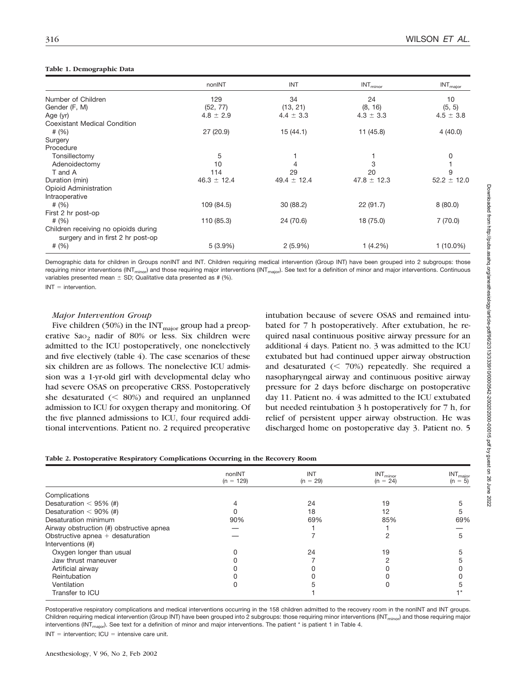### **Table 1. Demographic Data**

|                                                                           | nonINT          | <b>INT</b>      | $\ensuremath{\mathsf{INT}_{minor}}$ | $\mathsf{INT}_\mathsf{major}$ |
|---------------------------------------------------------------------------|-----------------|-----------------|-------------------------------------|-------------------------------|
| Number of Children                                                        | 129             | 34              | 24                                  | 10                            |
| Gender (F, M)                                                             | (52, 77)        | (13, 21)        | (8, 16)                             | (5, 5)                        |
| Age (yr)                                                                  | $4.8 \pm 2.9$   | $4.4 \pm 3.3$   | $4.3 \pm 3.3$                       | $4.5 \pm 3.8$                 |
| <b>Coexistant Medical Condition</b>                                       |                 |                 |                                     |                               |
| # $(%)$                                                                   | 27 (20.9)       | 15(44.1)        | 11 (45.8)                           | 4(40.0)                       |
| Surgery                                                                   |                 |                 |                                     |                               |
| Procedure                                                                 |                 |                 |                                     |                               |
| Tonsillectomy                                                             | 5               |                 |                                     | 0                             |
| Adenoidectomy                                                             | 10              | 4               | 3                                   |                               |
| T and A                                                                   | 114             | 29              | 20                                  | 9                             |
| Duration (min)                                                            | $46.3 \pm 12.4$ | $49.4 \pm 12.4$ | $47.8 \pm 12.3$                     | $52.2 \pm 12.0$               |
| <b>Opioid Administration</b>                                              |                 |                 |                                     |                               |
| Intraoperative                                                            |                 |                 |                                     |                               |
| # $(%)$                                                                   | 109 (84.5)      | 30 (88.2)       | 22(91.7)                            | 8(80.0)                       |
| First 2 hr post-op                                                        |                 |                 |                                     |                               |
| # $(\%)$                                                                  | 110 (85.3)      | 24 (70.6)       | 18 (75.0)                           | 7(70.0)                       |
| Children receiving no opioids during<br>surgery and in first 2 hr post-op |                 |                 |                                     |                               |
| # $(\%)$                                                                  | $5(3.9\%)$      | $2(5.9\%)$      | 1(4.2%)                             | $1(10.0\%)$                   |

Demographic data for children in Groups nonINT and INT. Children requiring medical intervention (Group INT) have been grouped into 2 subgroups: those requiring minor interventions (INT<sub>minor</sub>) and those requiring major interventions (INT<sub>major</sub>). See text for a definition of minor and major interventions. Continuous variables presented mean  $\pm$  SD; Qualitative data presented as # (%).  $INT =$  intervention.

# *Major Intervention Group*

Five children (50%) in the  $INT_{major}$  group had a preoperative  $Sao<sub>2</sub>$  nadir of 80% or less. Six children were admitted to the ICU postoperatively, one nonelectively and five electively (table 4). The case scenarios of these six children are as follows. The nonelective ICU admission was a 1-yr-old girl with developmental delay who had severe OSAS on preoperative CRSS. Postoperatively she desaturated  $(< 80\%)$  and required an unplanned admission to ICU for oxygen therapy and monitoring. Of the five planned admissions to ICU, four required additional interventions. Patient no. 2 required preoperative intubation because of severe OSAS and remained intubated for 7 h postoperatively. After extubation, he required nasal continuous positive airway pressure for an additional 4 days. Patient no. 3 was admitted to the ICU extubated but had continued upper airway obstruction and desaturated  $(< 70\%)$  repeatedly. She required a nasopharyngeal airway and continuous positive airway pressure for 2 days before discharge on postoperative day 11. Patient no. 4 was admitted to the ICU extubated but needed reintubation 3 h postoperatively for 7 h, for relief of persistent upper airway obstruction. He was discharged home on postoperative day 3. Patient no. 5

|  |  |  | Table 2. Postoperative Respiratory Complications Occurring in the Recovery Room |  |  |  |
|--|--|--|---------------------------------------------------------------------------------|--|--|--|
|  |  |  |                                                                                 |  |  |  |

|                                          | nonINT<br>$(n = 129)$ | <b>INT</b><br>$(n = 29)$ | INT <sub>minor</sub><br>$(n = 24)$ | $INT_{major}$<br>$(n = 5)$ |
|------------------------------------------|-----------------------|--------------------------|------------------------------------|----------------------------|
| Complications                            |                       |                          |                                    |                            |
| Desaturation $<$ 95% (#)                 |                       | 24                       | 19                                 |                            |
| Desaturation $<$ 90% (#)                 |                       | 18                       | 12                                 |                            |
| Desaturation minimum                     | 90%                   | 69%                      | 85%                                | 69%                        |
| Airway obstruction (#) obstructive apnea |                       |                          |                                    |                            |
| Obstructive apnea $+$ desaturation       |                       |                          |                                    | 5                          |
| Interventions (#)                        |                       |                          |                                    |                            |
| Oxygen longer than usual                 |                       | 24                       | 19                                 |                            |
| Jaw thrust maneuver                      |                       |                          | っ                                  |                            |
| Artificial airway                        |                       |                          |                                    |                            |
| Reintubation                             |                       |                          |                                    |                            |
| Ventilation                              |                       |                          |                                    |                            |
| Transfer to ICU                          |                       |                          |                                    |                            |

Postoperative respiratory complications and medical interventions occurring in the 158 children admitted to the recovery room in the nonINT and INT groups. Children requiring medical intervention (Group INT) have been grouped into 2 subgroups: those requiring minor interventions (INT<sub>minor</sub>) and those requiring major interventions (INT<sub>maior</sub>). See text for a definition of minor and major interventions. The patient \* is patient 1 in Table 4.

 $INT = intervention; ICU = intensive care unit.$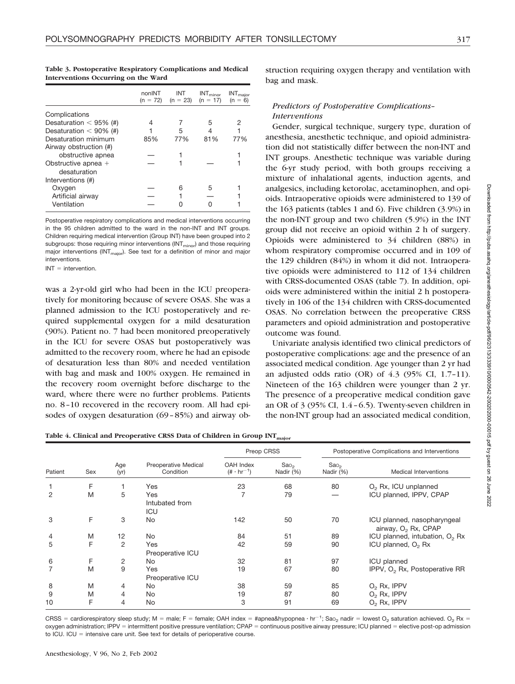|  | ٧ |  |
|--|---|--|
|  |   |  |

| mervemons occurring on the ward |                      |                   |                                    |                                                                |  |  |  |  |  |
|---------------------------------|----------------------|-------------------|------------------------------------|----------------------------------------------------------------|--|--|--|--|--|
|                                 | nonINT<br>$(n = 72)$ | INT<br>$(n = 23)$ | INT <sub>minor</sub><br>$(n = 17)$ | $\ensuremath{\mathsf{INT}_\mathsf{major}}\xspace$<br>$(n = 6)$ |  |  |  |  |  |
| Complications                   |                      |                   |                                    |                                                                |  |  |  |  |  |
| Desaturation $<$ 95% (#)        |                      |                   | 5                                  | 2                                                              |  |  |  |  |  |
| Desaturation $<$ 90% (#)        |                      | 5                 |                                    |                                                                |  |  |  |  |  |
| Desaturation minimum            | 85%                  | 77%               | 81%                                | 77%                                                            |  |  |  |  |  |
| Airway obstruction (#)          |                      |                   |                                    |                                                                |  |  |  |  |  |
| obstructive apnea               |                      |                   |                                    |                                                                |  |  |  |  |  |
| Obstructive apnea $+$           |                      |                   |                                    |                                                                |  |  |  |  |  |
| desaturation                    |                      |                   |                                    |                                                                |  |  |  |  |  |
| Interventions (#)               |                      |                   |                                    |                                                                |  |  |  |  |  |
| Oxygen                          |                      | հ                 | 5                                  |                                                                |  |  |  |  |  |
| Artificial airway               |                      |                   |                                    |                                                                |  |  |  |  |  |

**Table 3. Postoperative Respiratory Complications and Medical Interventions Occurring on the Ward**

Postoperative respiratory complications and medical interventions occurring in the 95 children admitted to the ward in the non-INT and INT groups. Children requiring medical intervention (Group INT) have been grouped into 2 subgroups: those requiring minor interventions ( $INT<sub>minor</sub>$ ) and those requiring major interventions ( $INT<sub>major</sub>$ ). See text for a definition of minor and major interventions.

Ventilation — 0 0 1

 $INT =$  intervention.

was a 2-yr-old girl who had been in the ICU preoperatively for monitoring because of severe OSAS. She was a planned admission to the ICU postoperatively and required supplemental oxygen for a mild desaturation (90%). Patient no. 7 had been monitored preoperatively in the ICU for severe OSAS but postoperatively was admitted to the recovery room, where he had an episode of desaturation less than 80% and needed ventilation with bag and mask and 100% oxygen. He remained in the recovery room overnight before discharge to the ward, where there were no further problems. Patients no. 8–10 recovered in the recovery room. All had episodes of oxygen desaturation (69–85%) and airway obstruction requiring oxygen therapy and ventilation with bag and mask.

# *Predictors of Postoperative Complications– Interventions*

Gender, surgical technique, surgery type, duration of anesthesia, anesthetic technique, and opioid administration did not statistically differ between the non-INT and INT groups. Anesthetic technique was variable during the 6-yr study period, with both groups receiving a mixture of inhalational agents, induction agents, and analgesics, including ketorolac, acetaminophen, and opioids. Intraoperative opioids were administered to 139 of the 163 patients (tables 1 and 6). Five children (3.9%) in the non-INT group and two children (5.9%) in the INT group did not receive an opioid within 2 h of surgery. Opioids were administered to 34 children (88%) in whom respiratory compromise occurred and in 109 of the 129 children (84%) in whom it did not. Intraoperative opioids were administered to 112 of 134 children with CRSS-documented OSAS (table 7). In addition, opioids were administered within the initial 2 h postoperatively in 106 of the 134 children with CRSS-documented OSAS. No correlation between the preoperative CRSS parameters and opioid administration and postoperative outcome was found.

Univariate analysis identified two clinical predictors of postoperative complications: age and the presence of an associated medical condition. Age younger than 2 yr had an adjusted odds ratio (OR) of 4.3 (95% CI, 1.7–11). Nineteen of the 163 children were younger than 2 yr. The presence of a preoperative medical condition gave an OR of 3 (95% CI, 1.4–6.5). Twenty-seven children in the non-INT group had an associated medical condition,

Table 4. Clinical and Preoperative CRSS Data of Children in Group INT<sub>major</sub>

|                |     |             | Preop CRSS                        |                                  |                               | Postoperative Complications and Interventions |                                                                |  |
|----------------|-----|-------------|-----------------------------------|----------------------------------|-------------------------------|-----------------------------------------------|----------------------------------------------------------------|--|
| Patient        | Sex | Age<br>(yr) | Preoperative Medical<br>Condition | OAH Index<br>$(+ \cdot hr^{-1})$ | Sao <sub>2</sub><br>Nadir (%) | Sao <sub>2</sub><br>Nadir (%)                 | Medical Interventions                                          |  |
|                | F   |             | Yes                               | 23                               | 68                            | 80                                            | $O2$ Rx, ICU unplanned                                         |  |
| $\overline{2}$ | M   | 5           | Yes<br>Intubated from<br>ICU      |                                  | 79                            |                                               | ICU planned, IPPV, CPAP                                        |  |
| 3              | F   | 3           | No                                | 142                              | 50                            | 70                                            | ICU planned, nasopharyngeal<br>airway, O <sub>2</sub> Rx, CPAP |  |
| 4              | M   | 12          | No                                | 84                               | 51                            | 89                                            | ICU planned, intubation, O <sub>2</sub> Rx                     |  |
| 5              | F   | 2           | Yes<br>Preoperative ICU           | 42                               | 59                            | 90                                            | ICU planned, O <sub>2</sub> Rx                                 |  |
| 6              | F   | 2           | No                                | 32                               | 81                            | 97                                            | <b>ICU</b> planned                                             |  |
| $\overline{7}$ | M   | 9           | Yes<br>Preoperative ICU           | 19                               | 67                            | 80                                            | IPPV, O <sub>2</sub> Rx, Postoperative RR                      |  |
| 8              | M   | 4           | No                                | 38                               | 59                            | 85                                            | $O2 Rx$ , IPPV                                                 |  |
| 9              | M   | 4           | No                                | 19                               | 87                            | 80                                            | $O2 Rx$ , IPPV                                                 |  |
| 10             | F   | 4           | No                                | 3                                | 91                            | 69                                            | O <sub>2</sub> Rx, IPPV                                        |  |

 $CRSS =$  cardiorespiratory sleep study; M = male; F = female; OAH index = #apnea&hypopnea  $\cdot$  hr<sup>-1</sup>; Sao<sub>2</sub> nadir = lowest O<sub>2</sub> saturation achieved. O<sub>2</sub> Rx = oxygen administration; IPPV = intermittent positive pressure ventilation; CPAP = continuous positive airway pressure; ICU planned = elective post-op admission to ICU. ICU  $=$  intensive care unit. See text for details of perioperative course.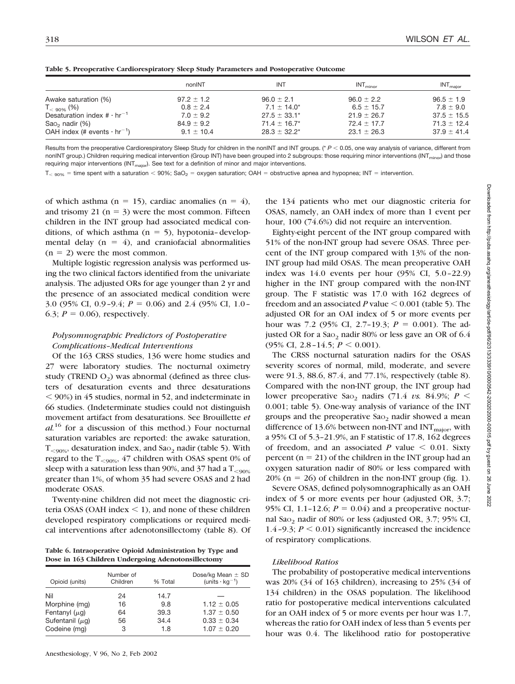|                                                                                 | nonINT                           | <b>INT</b>                             | INT <sub>minor</sub>               | $INT_{\text{maior}}$               |
|---------------------------------------------------------------------------------|----------------------------------|----------------------------------------|------------------------------------|------------------------------------|
| Awake saturation (%)                                                            | $97.2 \pm 1.2$                   | $96.0 \pm 2.1$                         | $96.0 \pm 2.2$                     | $96.5 \pm 1.9$                     |
| $T_{\leq 90\%}$ (%)                                                             | $0.8 \pm 2.4$                    | $7.1 \pm 14.0^*$                       | $6.5 \pm 15.7$                     | $7.8 \pm 9.0$                      |
| Desaturation index $\#\cdot\ln^{-1}$                                            | $7.0 \pm 9.2$                    | $27.5 \pm 33.1^*$                      | $21.9 \pm 26.7$                    | $37.5 \pm 15.5$                    |
| Sao <sub>2</sub> nadir $(\%)$<br>OAH index (# events $\cdot$ hr <sup>-1</sup> ) | $84.9 \pm 9.2$<br>$9.1 \pm 10.4$ | $71.4 \pm 16.7^*$<br>$28.3 \pm 32.2^*$ | $72.4 \pm 17.7$<br>$23.1 \pm 26.3$ | $71.3 \pm 12.4$<br>$37.9 \pm 41.4$ |

**Table 5. Preoperative Cardiorespiratory Sleep Study Parameters and Postoperative Outcome**

Results from the preoperative Cardiorespiratory Sleep Study for children in the nonINT and INT groups. (\*  $P < 0.05$ , one way analysis of variance, different from nonINT group.) Children requiring medical intervention (Group INT) have been grouped into 2 subgroups: those requiring minor interventions (INT<sub>minor</sub>) and those requiring major interventions (INT<sub>maior</sub>). See text for a definition of minor and major interventions.

 $T_{\leq 90\%}$  = time spent with a saturation  $< 90\%$ ; SaO<sub>2</sub> = oxygen saturation; OAH = obstructive apnea and hypopnea; INT = intervention.

of which asthma (n = 15), cardiac anomalies (n = 4), and trisomy 21 ( $n = 3$ ) were the most common. Fifteen children in the INT group had associated medical conditions, of which asthma ( $n = 5$ ), hypotonia-developmental delay  $(n = 4)$ , and craniofacial abnormalities  $(n = 2)$  were the most common.

Multiple logistic regression analysis was performed using the two clinical factors identified from the univariate analysis. The adjusted ORs for age younger than 2 yr and the presence of an associated medical condition were 3.0 (95% CI, 0.9-9.4;  $P = 0.06$ ) and 2.4 (95% CI, 1.0-6.3;  $P = 0.06$ ), respectively.

# *Polysomnographic Predictors of Postoperative Complications–Medical Interventions*

Of the 163 CRSS studies, 136 were home studies and 27 were laboratory studies. The nocturnal oximetry study (TREND  $O_2$ ) was abnormal (defined as three clusters of desaturation events and three desaturations 90%) in 45 studies, normal in 52, and indeterminate in 66 studies. (Indeterminate studies could not distinguish movement artifact from desaturations. See Brouillette *et al.*<sup>16</sup> for a discussion of this method.) Four nocturnal saturation variables are reported: the awake saturation,  $T_{\leq 90\%}$ , desaturation index, and Sao<sub>2</sub> nadir (table 5). With regard to the  $T_{<90\%}$ , 47 children with OSAS spent 0% of sleep with a saturation less than 90%, and 37 had a  $T_{\leq 90\%}$ greater than 1%, of whom 35 had severe OSAS and 2 had moderate OSAS.

Twenty-nine children did not meet the diagnostic criteria OSAS (OAH index  $\leq$  1), and none of these children developed respiratory complications or required medical interventions after adenotonsillectomy (table 8). Of

**Table 6. Intraoperative Opioid Administration by Type and Dose in 163 Children Undergoing Adenotonsillectomy**

| Number of<br>Children | % Total | Dose/kg Mean $\pm$ SD<br>(units $\cdot$ kg <sup>-1</sup> ) |
|-----------------------|---------|------------------------------------------------------------|
| 24                    | 14.7    |                                                            |
| 16                    | 9.8     | $1.12 \pm 0.05$                                            |
| 64                    | 39.3    | $1.37 \pm 0.50$                                            |
| 56                    | 34.4    | $0.33 \pm 0.34$                                            |
| 3                     | 1.8     | $1.07 \pm 0.20$                                            |
|                       |         |                                                            |

the 134 patients who met our diagnostic criteria for OSAS, namely, an OAH index of more than 1 event per hour, 100 (74.6%) did not require an intervention.

Eighty-eight percent of the INT group compared with 51% of the non-INT group had severe OSAS. Three percent of the INT group compared with 13% of the non-INT group had mild OSAS. The mean preoperative OAH index was 14.0 events per hour (95% CI, 5.0–22.9) higher in the INT group compared with the non-INT group. The F statistic was 17.0 with 162 degrees of freedom and an associated  $P$  value  $\leq 0.001$  (table 5). The adjusted OR for an OAI index of 5 or more events per hour was 7.2 (95% CI, 2.7-19.3;  $P = 0.001$ ). The adjusted OR for a  $Sao_2$  nadir 80% or less gave an OR of 6.4 (95% CI, 2.8-14.5;  $P \le 0.001$ ).

The CRSS nocturnal saturation nadirs for the OSAS severity scores of normal, mild, moderate, and severe were 91.3, 88.6, 87.4, and 77.1%, respectively (table 8). Compared with the non-INT group, the INT group had lower preoperative Sao<sub>2</sub> nadirs (71.4 *vs.* 84.9%;  $P \leq$ 0.001; table 5). One-way analysis of variance of the INT groups and the preoperative Sao<sub>2</sub> nadir showed a mean difference of 13.6% between non-INT and  $INT<sub>major</sub>$ , with a 95% CI of 5.3–21.9%, an F statistic of 17.8, 162 degrees of freedom, and an associated  $P$  value  $\leq 0.01$ . Sixty percent ( $n = 21$ ) of the children in the INT group had an oxygen saturation nadir of 80% or less compared with  $20\%$  (n = 26) of children in the non-INT group (fig. 1).

Severe OSAS, defined polysomnographically as an OAH index of 5 or more events per hour (adjusted OR, 3.7; 95% CI, 1.1-12.6;  $P = 0.04$ ) and a preoperative nocturnal Sao<sub>2</sub> nadir of 80% or less (adjusted OR, 3.7; 95% CI, 1.4–9.3;  $P \le 0.01$ ) significantly increased the incidence of respiratory complications.

### *Likelihood Ratios*

The probability of postoperative medical interventions was 20% (34 of 163 children), increasing to 25% (34 of 134 children) in the OSAS population. The likelihood ratio for postoperative medical interventions calculated for an OAH index of 5 or more events per hour was 1.7, whereas the ratio for OAH index of less than 5 events per hour was 0.4. The likelihood ratio for postoperative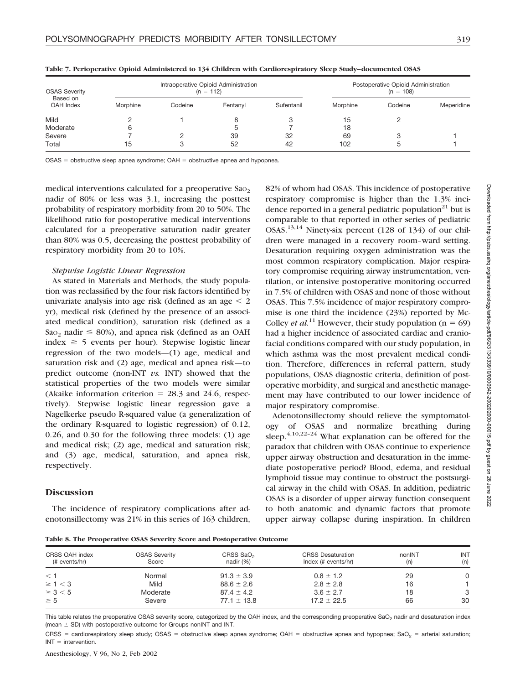| <b>OSAS Severity</b><br>Based on<br>OAH Index |          |         | Intraoperative Opioid Administration<br>$(n = 112)$ | Postoperative Opioid Administration<br>$(n = 108)$ |          |         |            |
|-----------------------------------------------|----------|---------|-----------------------------------------------------|----------------------------------------------------|----------|---------|------------|
|                                               | Morphine | Codeine | Fentanvl                                            | Sufentanil                                         | Morphine | Codeine | Meperidine |
| Mild                                          |          |         |                                                     |                                                    | 15       |         |            |
| Moderate                                      |          |         |                                                     |                                                    | 18       |         |            |
| Severe                                        |          |         | 39                                                  | 32                                                 | 69       |         |            |
| Total                                         | 15       |         | 52                                                  | 42                                                 | 102      |         |            |

**Table 7. Perioperative Opioid Administered to 134 Children with Cardiorespiratory Sleep Study–documented OSAS**

 $OSAS =$  obstructive sleep apnea syndrome;  $OAH =$  obstructive apnea and hypopnea.

medical interventions calculated for a preoperative Sao<sub>2</sub> nadir of 80% or less was 3.1, increasing the posttest probability of respiratory morbidity from 20 to 50%. The likelihood ratio for postoperative medical interventions calculated for a preoperative saturation nadir greater than 80% was 0.5, decreasing the posttest probability of respiratory morbidity from 20 to 10%.

### *Stepwise Logistic Linear Regression*

As stated in Materials and Methods, the study population was reclassified by the four risk factors identified by univariate analysis into age risk (defined as an age  $\leq 2$ yr), medical risk (defined by the presence of an associated medical condition), saturation risk (defined as a Sao<sub>2</sub> nadir  $\leq$  80%), and apnea risk (defined as an OAH index  $\geq$  5 events per hour). Stepwise logistic linear regression of the two models—(1) age, medical and saturation risk and (2) age, medical and apnea risk—to predict outcome (non-INT *vs.* INT) showed that the statistical properties of the two models were similar (Akaike information criterion  $= 28.3$  and 24.6, respectively). Stepwise logistic linear regression gave a Nagelkerke pseudo R-squared value (a generalization of the ordinary R-squared to logistic regression) of 0.12, 0.26, and 0.30 for the following three models: (1) age and medical risk; (2) age, medical and saturation risk; and (3) age, medical, saturation, and apnea risk, respectively.

## **Discussion**

The incidence of respiratory complications after adenotonsillectomy was 21% in this series of 163 children, 82% of whom had OSAS. This incidence of postoperative respiratory compromise is higher than the 1.3% incidence reported in a general pediatric population $21$  but is comparable to that reported in other series of pediatric OSAS.<sup>13,14</sup> Ninety-six percent (128 of 134) of our children were managed in a recovery room–ward setting. Desaturation requiring oxygen administration was the most common respiratory complication. Major respiratory compromise requiring airway instrumentation, ventilation, or intensive postoperative monitoring occurred in 7.5% of children with OSAS and none of those without OSAS. This 7.5% incidence of major respiratory compromise is one third the incidence (23%) reported by Mc-Colley *et al.*<sup>11</sup> However, their study population ( $n = 69$ ) had a higher incidence of associated cardiac and craniofacial conditions compared with our study population, in which asthma was the most prevalent medical condition. Therefore, differences in referral pattern, study populations, OSAS diagnostic criteria, definition of postoperative morbidity, and surgical and anesthetic management may have contributed to our lower incidence of major respiratory compromise.

Adenotonsillectomy should relieve the symptomatology of OSAS and normalize breathing during sleep. $4,10,22-24$  What explanation can be offered for the paradox that children with OSAS continue to experience upper airway obstruction and desaturation in the immediate postoperative period? Blood, edema, and residual lymphoid tissue may continue to obstruct the postsurgical airway in the child with OSAS. In addition, pediatric OSAS is a disorder of upper airway function consequent to both anatomic and dynamic factors that promote upper airway collapse during inspiration. In children

**Table 8. The Preoperative OSAS Severity Score and Postoperative Outcome**

| CRSS OAH index<br>(# events/hr) | <b>OSAS Severity</b><br>Score | CRSS SaO <sub>2</sub><br>nadir $(\%)$ | <b>CRSS Desaturation</b><br>Index (# events/hr) | nonINT<br>(n) | <b>INT</b><br>(n) |
|---------------------------------|-------------------------------|---------------------------------------|-------------------------------------------------|---------------|-------------------|
| $<$ 1                           | Normal                        | $91.3 \pm 3.9$                        | $0.8 \pm 1.2$                                   | 29            | O                 |
| $\geq 1 < 3$                    | Mild                          | $88.6 \pm 2.6$                        | $2.8 \pm 2.8$                                   | 16            |                   |
| $\geq 3 < 5$                    | Moderate                      | $87.4 \pm 4.2$                        | $3.6 \pm 2.7$                                   | 18            | 3                 |
| $\geq 5$                        | Severe                        | $77.1 \pm 13.8$                       | $17.2 \pm 22.5$                                 | 66            | 30                |

This table relates the preoperative OSAS severity score, categorized by the OAH index, and the corresponding preoperative SaO<sub>2</sub> nadir and desaturation index (mean  $\pm$  SD) with postoperative outcome for Groups nonINT and INT.

CRSS = cardiorespiratory sleep study; OSAS = obstructive sleep apnea syndrome; OAH = obstructive apnea and hypopnea; SaO<sub>2</sub> = arterial saturation;  $INT =$  intervention.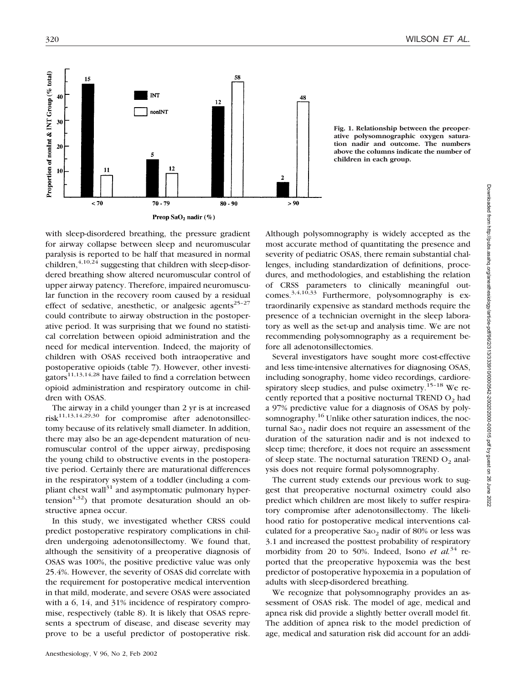

**Fig. 1. Relationship between the preoperative polysomnographic oxygen saturation nadir and outcome. The numbers above the columns indicate the number of children in each group.**

with sleep-disordered breathing, the pressure gradient for airway collapse between sleep and neuromuscular paralysis is reported to be half that measured in normal children,<sup>4,10,24</sup> suggesting that children with sleep-disordered breathing show altered neuromuscular control of upper airway patency. Therefore, impaired neuromuscular function in the recovery room caused by a residual effect of sedative, anesthetic, or analgesic agents<sup>25-27</sup> could contribute to airway obstruction in the postoperative period. It was surprising that we found no statistical correlation between opioid administration and the need for medical intervention. Indeed, the majority of children with OSAS received both intraoperative and postoperative opioids (table 7). However, other investigators $11,13,14,28$  have failed to find a correlation between opioid administration and respiratory outcome in children with OSAS.

The airway in a child younger than 2 yr is at increased  $risk^{11,13,14,29,30}$  for compromise after adenotonsillectomy because of its relatively small diameter. In addition, there may also be an age-dependent maturation of neuromuscular control of the upper airway, predisposing the young child to obstructive events in the postoperative period. Certainly there are maturational differences in the respiratory system of a toddler (including a compliant chest wall $31$  and asymptomatic pulmonary hypertension<sup> $4,32$ </sup>) that promote desaturation should an obstructive apnea occur.

In this study, we investigated whether CRSS could predict postoperative respiratory complications in children undergoing adenotonsillectomy. We found that, although the sensitivity of a preoperative diagnosis of OSAS was 100%, the positive predictive value was only 25.4%. However, the severity of OSAS did correlate with the requirement for postoperative medical intervention in that mild, moderate, and severe OSAS were associated with a 6, 14, and 31% incidence of respiratory compromise, respectively (table 8). It is likely that OSAS represents a spectrum of disease, and disease severity may prove to be a useful predictor of postoperative risk.

Although polysomnography is widely accepted as the most accurate method of quantitating the presence and severity of pediatric OSAS, there remain substantial challenges, including standardization of definitions, procedures, and methodologies, and establishing the relation of CRSS parameters to clinically meaningful outcomes.<sup>3,4,10,33</sup> Furthermore, polysomnography is extraordinarily expensive as standard methods require the presence of a technician overnight in the sleep laboratory as well as the set-up and analysis time. We are not recommending polysomnography as a requirement before all adenotonsillectomies.

Several investigators have sought more cost-effective and less time-intensive alternatives for diagnosing OSAS, including sonography, home video recordings, cardiorespiratory sleep studies, and pulse oximetry.<sup>15–18</sup> We recently reported that a positive nocturnal TREND  $O<sub>2</sub>$  had a 97% predictive value for a diagnosis of OSAS by polysomnography.<sup>16</sup> Unlike other saturation indices, the nocturnal Sao<sub>2</sub> nadir does not require an assessment of the duration of the saturation nadir and is not indexed to sleep time; therefore, it does not require an assessment of sleep state. The nocturnal saturation TREND  $O<sub>2</sub>$  analysis does not require formal polysomnography.

The current study extends our previous work to suggest that preoperative nocturnal oximetry could also predict which children are most likely to suffer respiratory compromise after adenotonsillectomy. The likelihood ratio for postoperative medical interventions calculated for a preoperative  $Sao<sub>2</sub>$  nadir of 80% or less was 3.1 and increased the posttest probability of respiratory morbidity from 20 to 50%. Indeed, Isono *et al.*<sup>34</sup> reported that the preoperative hypoxemia was the best predictor of postoperative hypoxemia in a population of adults with sleep-disordered breathing.

We recognize that polysomnography provides an assessment of OSAS risk. The model of age, medical and apnea risk did provide a slightly better overall model fit. The addition of apnea risk to the model prediction of age, medical and saturation risk did account for an addi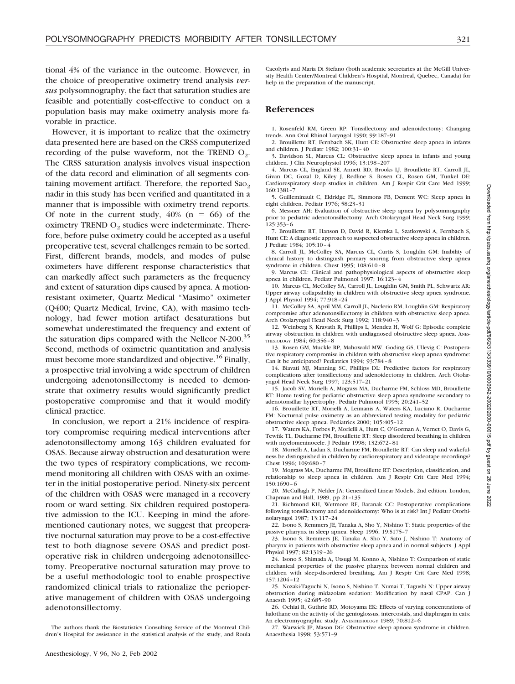tional 4% of the variance in the outcome. However, in the choice of preoperative oximetry trend analysis *versus* polysomnography, the fact that saturation studies are feasible and potentially cost-effective to conduct on a population basis may make oximetry analysis more favorable in practice.

However, it is important to realize that the oximetry data presented here are based on the CRSS computerized recording of the pulse waveform, not the TREND  $O_2$ . The CRSS saturation analysis involves visual inspection of the data record and elimination of all segments containing movement artifact. Therefore, the reported  $Sao<sub>2</sub>$ nadir in this study has been verified and quantitated in a manner that is impossible with oximetry trend reports. Of note in the current study,  $40\%$  (n = 66) of the oximetry TREND  $O<sub>2</sub>$  studies were indeterminate. Therefore, before pulse oximetry could be accepted as a useful preoperative test, several challenges remain to be sorted. First, different brands, models, and modes of pulse oximeters have different response characteristics that can markedly affect such parameters as the frequency and extent of saturation dips caused by apnea. A motionresistant oximeter, Quartz Medical "Masimo" oximeter (Q400; Quartz Medical, Irvine, CA), with masimo technology, had fewer motion artifact desaturations but somewhat underestimated the frequency and extent of the saturation dips compared with the Nellcor N-200.<sup>35</sup> Second, methods of oximetric quantitation and analysis must become more standardized and objective.<sup>16</sup> Finally, a prospective trial involving a wide spectrum of children undergoing adenotonsillectomy is needed to demonstrate that oximetry results would significantly predict postoperative compromise and that it would modify clinical practice.

In conclusion, we report a 21% incidence of respiratory compromise requiring medical interventions after adenotonsillectomy among 163 children evaluated for OSAS. Because airway obstruction and desaturation were the two types of respiratory complications, we recommend monitoring all children with OSAS with an oximeter in the initial postoperative period. Ninety-six percent of the children with OSAS were managed in a recovery room or ward setting. Six children required postoperative admission to the ICU. Keeping in mind the aforementioned cautionary notes, we suggest that preoperative nocturnal saturation may prove to be a cost-effective test to both diagnose severe OSAS and predict postoperative risk in children undergoing adenotonsillectomy. Preoperative nocturnal saturation may prove to be a useful methodologic tool to enable prospective randomized clinical trials to rationalize the perioperative management of children with OSAS undergoing adenotonsillectomy.

The authors thank the Biostatistics Consulting Service of the Montreal Children's Hospital for assistance in the statistical analysis of the study, and Roula

Cacolyris and Maria Di Stefano (both academic secretaries at the McGill University Health Center/Montreal Children's Hospital, Montreal, Quebec, Canada) for help in the preparation of the manuscript.

# **References**

1. Rosenfeld RM, Green RP: Tonsillectomy and adenoidectomy: Changing trends. Ann Otol Rhinol Laryngol 1990; 99:187–91

2. Brouillette RT, Fernbach SK, Hunt CE: Obstructive sleep apnea in infants and children. J Pediatr 1982; 100:31–40

3. Davidson SL, Marcus CL: Obstructive sleep apnea in infants and young children. J Clin Neurophysiol 1996; 13:198–207

4. Marcus CL, England SE, Annett RD, Brooks LJ, Brouillette RT, Carroll JL, Givan DC, Gozal D, Kiley J, Redline S, Rosen CL, Rosen GM, Tunkel DE: Cardiorespiratory sleep studies in children. Am J Respir Crit Care Med 1999; 160:1381–7

5. Guilleminault C, Eldridge FL, Simmons FB, Dement WC: Sleep apnea in eight children. Pediatr 1976; 58:23–31

6. Messner AH: Evaluation of obstructive sleep apnea by polysomnography prior to pediatric adenotonsillectomy. Arch Otolaryngol Head Neck Surg 1999; 125:353–6

7. Brouillette RT, Hanson D, David R, Klemka L, Szatkowski A, Fernbach S, Hunt CE: A diagnostic approach to suspected obstructive sleep apnea in children. J Pediatr 1984; 105:10–4

8. Carroll JL, McColley SA, Marcus CL, Curtis S, Loughlin GM: Inability of clinical history to distinguish primary snoring from obstructive sleep apnea syndrome in children. Chest 1995; 108:610–8

9. Marcus CL: Clinical and pathophysiological aspects of obstructive sleep apnea in children. Pediatr Pulmonol 1997; 16:123–4

10. Marcus CL, McColley SA, Carroll JL, Loughlin GM, Smith PL, Schwartz AR: Upper airway collapsibility in children with obstructive sleep apnea syndrome. J Appl Physiol 1994; 77:918–24

11. McColley SA, April MM, Carroll JL, Naclerio RM, Loughlin GM: Respiratory compromise after adenotonsillectomy in children with obstructive sleep apnea. Arch Otolaryngol Head Neck Surg 1992; 118:940–3

12. Weinberg S, Kravath R, Phillips L, Mendez H, Wolf G: Episodic complete airway obstruction in children with undiagnosed obstructive sleep apnea. ANES-THESIOLOGY 1984; 60:356–8

13. Rosen GM, Muckle RP, Mahowald MW, Goding GS, Ullevig C: Postoperative respiratory compromise in children with obstructive sleep apnea syndrome: Can it be anticipated? Pediatrics 1994; 93:784–8

14. Biavati MJ, Manning SC, Phillips DL: Predictive factors for respiratory complications after tonsillectomy and adenoidectomy in children. Arch Otolaryngol Head Neck Surg 1997; 123:517–21

15. Jacob SV, Morielli A, Mograss MA, Ducharme FM, Schloss MD, Brouillette RT: Home testing for pediatric obstructive sleep apnea syndrome secondary to adenotonsillar hypertrophy. Pediatr Pulmonol 1995; 20:241–52

16. Brouillette RT, Morielli A, Leimanis A, Waters KA, Luciano R, Ducharme FM: Nocturnal pulse oximetry as an abbreviated testing modality for pediatric obstructive sleep apnea. Pediatrics 2000; 105:405–12

17. Waters KA, Forbes P, Morielli A, Hum C, O'Gorman A, Vernet O, Davis G, Tewfik TL, Ducharme FM, Brouillette RT: Sleep disordered breathing in children with myelomeninocele. J Pediatr 1998; 132:672–81

18. Morielli A, Ladan S, Ducharme FM, Brouillette RT: Can sleep and wakefulness be distinguished in children by cardiorespiratory and videotape recordings? Chest 1996; 109:680–7

19. Mograss MA, Ducharme FM, Brouillette RT: Description, classification, and relationship to sleep apnea in children. Am J Respir Crit Care Med 1994; 150:1690–6

20. McCullagh P, Nelder JA: Generalized Linear Models, 2nd edition. London, Chapman and Hall, 1989, pp 21–135

21. Richmond KH, Wetmore RF, Baranak CC: Postoperative complications following tonsillectomy and adenoidectomy: Who is at risk? Int J Pediatr Otorhinolaryngol 1987; 13:117–24

22. Isono S, Remmers JE, Tanaka A, Sho Y, Nishino T: Static properties of the passive pharynx in sleep apnea. Sleep 1996; 19:S175–7

23. Isono S, Remmers JE, Tanaka A, Sho Y, Sato J, Nishino T: Anatomy of pharynx in patients with obstructive sleep apnea and in normal subjects. J Appl Physiol 1997; 82:1319–26

24. Isono S, Shimada A, Utsugi M, Konno A, Nishino T: Comparison of static mechanical properties of the passive pharynx between normal children and children with sleep-disordered breathing. Am J Respir Crit Care Med 1998; 157:1204–12

25. Nozaki-Taguchi N, Isono S, Nishino T, Numai T, Tagushi N: Upper airway obstruction during midazolam sedation: Modification by nasal CPAP. Can J Anaesth 1995; 42:685–90

26. Ochiai R, Guthrie RD, Motoyama EK: Effects of varying concentrations of halothane on the activity of the genioglossus, intercostals, and diaphragm in cats: An electromyographic study. ANESTHESIOLOGY 1989; 70:812–6

27. Warwick JP, Mason DG: Obstructive sleep apnoea syndrome in children. Anaesthesia 1998; 53:571–9